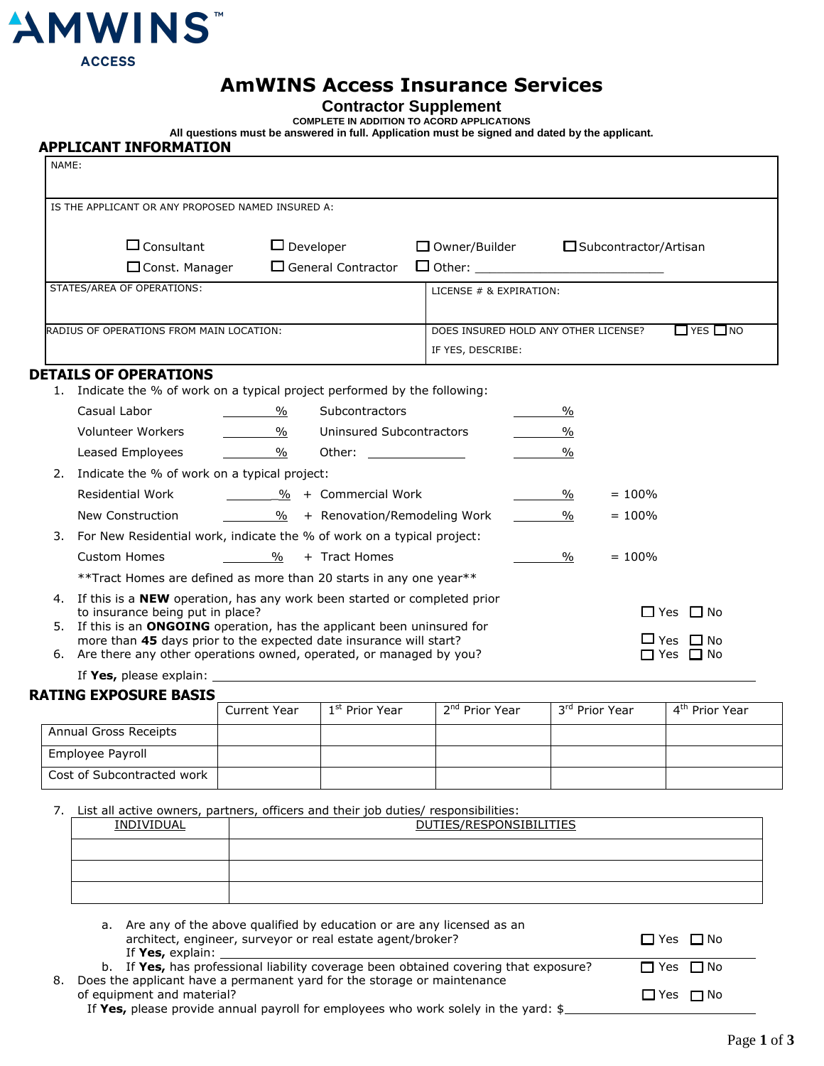

# **AmWINS Access Insurance Services**

## **Contractor Supplement**

**COMPLETE IN ADDITION TO ACORD APPLICATIONS**

**All questions must be answered in full. Application must be signed and dated by the applicant.**

| NAME: |                                                                                                                                   |                                             |                |                                                   |                                      |           |                      |
|-------|-----------------------------------------------------------------------------------------------------------------------------------|---------------------------------------------|----------------|---------------------------------------------------|--------------------------------------|-----------|----------------------|
|       | IS THE APPLICANT OR ANY PROPOSED NAMED INSURED A:                                                                                 |                                             |                |                                                   |                                      |           |                      |
|       | $\Box$ Consultant                                                                                                                 |                                             |                |                                                   |                                      |           |                      |
|       |                                                                                                                                   | $\Box$ Developer                            |                | $\Box$ Owner/Builder $\Box$ Subcontractor/Artisan |                                      |           |                      |
|       | $\Box$ Const. Manager                                                                                                             | $\Box$ General Contractor                   |                |                                                   |                                      |           |                      |
|       | STATES/AREA OF OPERATIONS:                                                                                                        |                                             |                | LICENSE # & EXPIRATION:                           |                                      |           |                      |
|       |                                                                                                                                   |                                             |                |                                                   |                                      |           |                      |
|       | RADIUS OF OPERATIONS FROM MAIN LOCATION:                                                                                          |                                             |                |                                                   | DOES INSURED HOLD ANY OTHER LICENSE? |           | $\Box$ YES $\Box$ NO |
|       |                                                                                                                                   |                                             |                | IF YES, DESCRIBE:                                 |                                      |           |                      |
|       | <b>DETAILS OF OPERATIONS</b><br>Indicate the % of work on a typical project performed by the following:                           |                                             |                |                                                   |                                      |           |                      |
|       | Casual Labor                                                                                                                      | $\sim$ 0%                                   | Subcontractors |                                                   | $\frac{0}{0}$                        |           |                      |
|       | Volunteer Workers                                                                                                                 | 1. Vininsured Subcontractors                |                |                                                   | $\frac{0}{0}$                        |           |                      |
|       | Leased Employees                                                                                                                  | $\%$                                        |                |                                                   | $\frac{0}{0}$                        |           |                      |
|       | 2. Indicate the % of work on a typical project:                                                                                   |                                             |                |                                                   |                                      |           |                      |
|       | Residential Work                                                                                                                  |                                             |                |                                                   | $\%$                                 | $= 100\%$ |                      |
|       | New Construction                                                                                                                  | $\frac{96}{4}$ + Renovation/Remodeling Work |                |                                                   | $\%$                                 | $= 100\%$ |                      |
| 3.    | For New Residential work, indicate the % of work on a typical project:                                                            |                                             |                |                                                   |                                      |           |                      |
|       | <b>Custom Homes</b>                                                                                                               | $\frac{9}{6}$ + Tract Homes                 |                |                                                   | $\%$                                 | $= 100\%$ |                      |
|       | **Tract Homes are defined as more than 20 starts in any one year**                                                                |                                             |                |                                                   |                                      |           |                      |
|       | 4. If this is a <b>NEW</b> operation, has any work been started or completed prior                                                |                                             |                |                                                   |                                      |           |                      |
| 5.    | to insurance being put in place?<br>$\Box$ Yes $\Box$ No<br>If this is an ONGOING operation, has the applicant been uninsured for |                                             |                |                                                   |                                      |           |                      |
|       | more than 45 days prior to the expected date insurance will start?<br>$\Box$ Yes $\Box$ No                                        |                                             |                |                                                   |                                      |           |                      |
|       | 6. Are there any other operations owned, operated, or managed by you?<br>$\Box$ Yes $\Box$ No                                     |                                             |                |                                                   |                                      |           |                      |

If **Yes,** please explain:

#### **RATING EXPOSURE BASIS**

|                            | <b>Current Year</b> | 1 <sup>st</sup> Prior Year | 2 <sup>nd</sup> Prior Year | 3 <sup>rd</sup> Prior Year | 4 <sup>th</sup> Prior Year |
|----------------------------|---------------------|----------------------------|----------------------------|----------------------------|----------------------------|
| Annual Gross Receipts      |                     |                            |                            |                            |                            |
| Employee Payroll           |                     |                            |                            |                            |                            |
| Cost of Subcontracted work |                     |                            |                            |                            |                            |

7. List all active owners, partners, officers and their job duties/ responsibilities:

| INDIVIDUAL | DUTIES/RESPONSIBILITIES |
|------------|-------------------------|
|            |                         |
|            |                         |
|            |                         |

a. Are any of the above qualified by education or are any licensed as an architect, engineer, surveyor or real estate agent/broker?  $\square$  Yes  $\square$  Yes  $\square$  No If **Yes,** explain: b. If Yes, has professional liability coverage been obtained covering that exposure?  $\square$  Yes  $\square$  No 8. Does the applicant have a permanent yard for the storage or maintenance of equipment and material?  $\Box$  Yes  $\Box$  No

If **Yes,** please provide annual payroll for employees who work solely in the yard: \$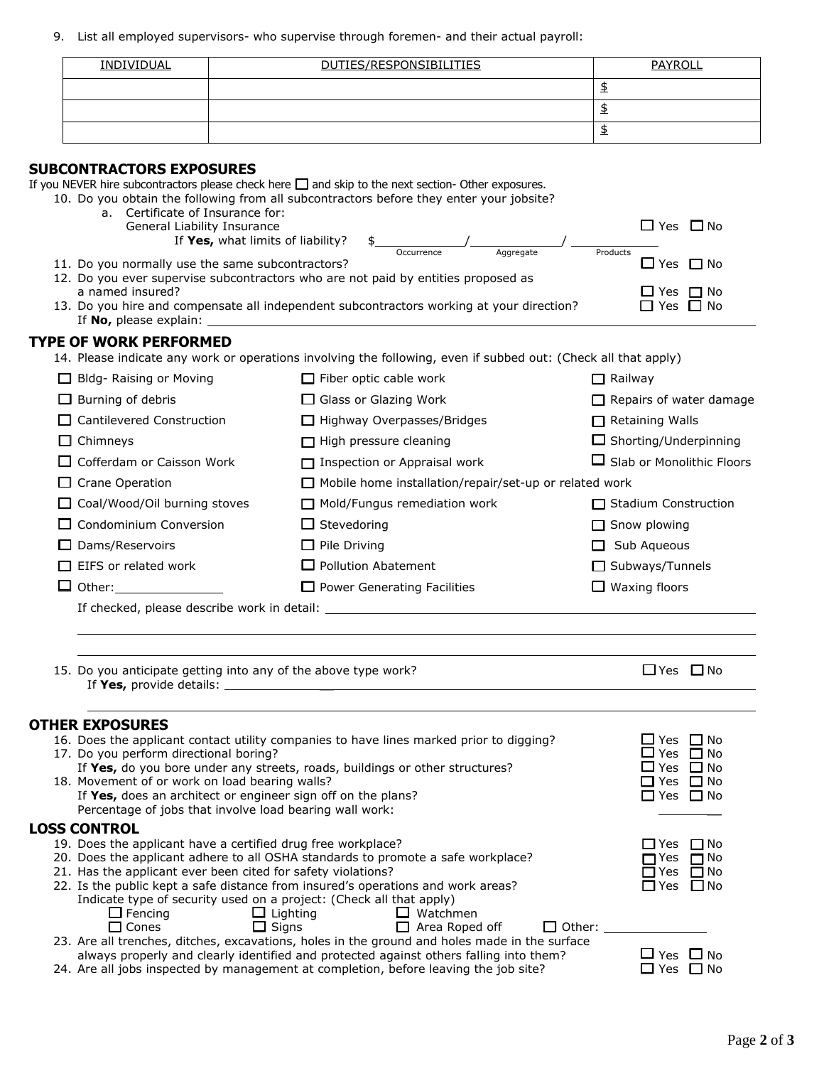9. List all employed supervisors- who supervise through foremen- and their actual payroll:

| <b>INDIVIDUAL</b> | DUTIES/RESPONSIBILITIES | <b>PAYROLI</b> |
|-------------------|-------------------------|----------------|
|                   |                         |                |
|                   |                         |                |
|                   |                         | ≖              |

# **SUBCONTRACTORS EXPOSURES**

If you NEVER hire subcontractors please check here  $\Box$  and skip to the next section- Other exposures.

| 10. Do you obtain the following from all subcontractors before they enter your jobsite? |  |  |  |
|-----------------------------------------------------------------------------------------|--|--|--|
|                                                                                         |  |  |  |

- a. Certificate of Insurance for:
- General Liability Insurance  $\Box$  Yes  $\Box$  No If **Yes,** what limits of liability?  $\frac{2}{1}$   $\frac{2}{\frac{1}{\frac{1}{2} \cdot \frac{1}{\frac{1}{2} \cdot \frac{1}{2} \cdot \frac{1}{2} \cdot \frac{1}{2} \cdot \frac{1}{2} \cdot \frac{1}{2} \cdot \frac{1}{2} \cdot \frac{1}{2} \cdot \frac{1}{2} \cdot \frac{1}{2} \cdot \frac{1}{2} \cdot \frac{1}{2} \cdot \frac{1}{2} \cdot \frac{1}{2} \cdot \frac{1}{2} \cdot \frac{1}{2} \cdot \frac{1}{2$ Occurrence Aggregate Products
- 11. Do you normally use the same subcontractors?  $\Box$  Yes  $\Box$  Yes  $\Box$  No
- 12. Do you ever supervise subcontractors who are not paid by entities proposed as a named insured?  $\Box$  Yes  $\Box$  No  $\Box$  Yes  $\Box$  No  $\Box$  Yes  $\Box$  No  $\Box$  Yes  $\Box$  No  $\Box$  Yes  $\Box$  No  $\Box$  Yes  $\Box$  No  $\Box$  Yes  $\Box$  No  $\Box$  Yes  $\Box$  No  $\Box$  Yes  $\Box$  No  $\Box$  Yes  $\Box$  No  $\Box$  Yes  $\Box$  No  $\Box$  Yes  $\Box$  No
- 13. Do you hire and compensate all independent subcontractors working at your direction? If **No,** please explain:

### **TYPE OF WORK PERFORMED**

14. Please indicate any work or operations involving the following, even if subbed out: (Check all that apply)

| Bldg- Raising or Moving                     | $\Box$ Fiber optic cable work                                 | $\sqcap$ Railway                      |
|---------------------------------------------|---------------------------------------------------------------|---------------------------------------|
| $\Box$ Burning of debris                    | $\Box$ Glass or Glazing Work                                  | $\Box$ Repairs of water damage        |
| $\Box$ Cantilevered Construction            | $\Box$ Highway Overpasses/Bridges                             | $\Box$ Retaining Walls                |
| $\Box$ Chimneys                             | $\Box$ High pressure cleaning                                 | $\Box$ Shorting/Underpinning          |
| $\Box$ Cofferdam or Caisson Work            | $\Box$ Inspection or Appraisal work                           | $\Box$ Slab or Monolithic Floors      |
| $\Box$ Crane Operation                      | $\Box$ Mobile home installation/repair/set-up or related work |                                       |
| $\Box$ Coal/Wood/Oil burning stoves         | $\Box$ Mold/Fungus remediation work                           | <b>Stadium Construction</b><br>$\Box$ |
| $\Box$ Condominium Conversion               | $\Box$ Stevedoring                                            | $\Box$ Snow plowing                   |
| $\Box$ Dams/Reservoirs                      | $\Box$ Pile Driving                                           | Sub Aqueous<br>$\mathbf{1}$           |
| $\Box$ EIFS or related work                 | $\Box$ Pollution Abatement                                    | $\Box$ Subways/Tunnels                |
| $\Box$ Other:                               | $\Box$ Power Generating Facilities                            | Waxing floors                         |
| If checked, please describe work in detail: |                                                               |                                       |

15. Do you anticipate getting into any of the above type work?  $\Box$  Yes  $\Box$  Yes  $\Box$  No If **Yes,** provide details: \_\_

#### **OTHER EXPOSURES**

|                                                                                                      | 16. Does the applicant contact utility companies to have lines marked prior to digging?                                        |                       |               | □ Yes □ No                      |  |
|------------------------------------------------------------------------------------------------------|--------------------------------------------------------------------------------------------------------------------------------|-----------------------|---------------|---------------------------------|--|
|                                                                                                      | 17. Do you perform directional boring?                                                                                         |                       |               | ∐ Yes □ No                      |  |
|                                                                                                      | If Yes, do you bore under any streets, roads, buildings or other structures?                                                   |                       |               | $\Box$ Yes $\Box$ No            |  |
|                                                                                                      | 18. Movement of or work on load bearing walls?                                                                                 |                       |               | □ Yes □ No                      |  |
|                                                                                                      | If Yes, does an architect or engineer sign off on the plans?                                                                   |                       |               | □ Yes □ No                      |  |
|                                                                                                      | Percentage of jobs that involve load bearing wall work:                                                                        |                       |               |                                 |  |
|                                                                                                      | <b>LOSS CONTROL</b>                                                                                                            |                       |               |                                 |  |
|                                                                                                      | 19. Does the applicant have a certified drug free workplace?                                                                   |                       |               | $\Box$ Yes<br>ΠNo               |  |
|                                                                                                      | 20. Does the applicant adhere to all OSHA standards to promote a safe workplace?                                               |                       |               | $\Box$ No<br>$\blacksquare$ Yes |  |
| 21. Has the applicant ever been cited for safety violations?                                         |                                                                                                                                |                       |               | $\Box$ Yes<br>$\Box$ No         |  |
|                                                                                                      | 22. Is the public kept a safe distance from insured's operations and work areas?                                               |                       |               | □Yes □No                        |  |
|                                                                                                      | Indicate type of security used on a project: (Check all that apply)                                                            |                       |               |                                 |  |
|                                                                                                      | $\Box$ Lighting<br>$\Box$ Fencing                                                                                              | $\Box$ Watchmen       |               |                                 |  |
|                                                                                                      | $\square$ Sians<br>$\Box$ Cones                                                                                                | $\Box$ Area Roped off | $\Box$ Other: |                                 |  |
|                                                                                                      | 23. Are all trenches, ditches, excavations, holes in the ground and holes made in the surface                                  |                       |               |                                 |  |
| ∐ Yes ∐ No<br>always properly and clearly identified and protected against others falling into them? |                                                                                                                                |                       |               |                                 |  |
|                                                                                                      | <b>FIV FIN.</b><br>للتقاط والمقاط والمستريح والمستكم والمستقط ومستوجب والمستحد والمستحدث والمستحدث والمستحدث والمستقيد المنافض |                       |               |                                 |  |

24. Are all jobs inspected by management at completion, before leaving the job site?  $\square$  Yes  $\square$  No